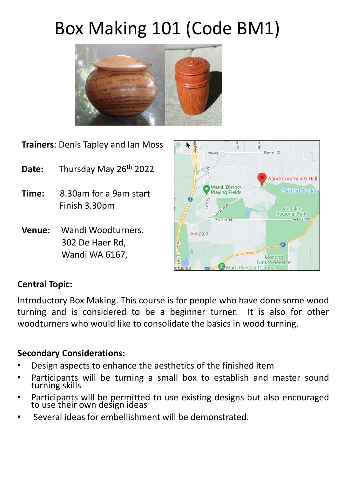# Box Making 101 (Code BM1)



**Trainers**: Denis Tapley and Ian Moss

- Date: Thursday May 26<sup>th</sup> 2022
- **Time:** 8.30am for a 9am start Finish 3.30pm
- **Venue:** Wandi Woodturners. 302 De Haer Rd, Wandi WA 6167,



## **Central Topic:**

Introductory Box Making. This course is for people who have done some wood turning and is considered to be a beginner turner. It is also for other woodturners who would like to consolidate the basics in wood turning.

## **Secondary Considerations:**

- Design aspects to enhance the aesthetics of the finished item
- Participants will be turning a small box to establish and master sound turning skills
- Participants will be permitted to use existing designs but also encouraged to use their own design ideas
- Several ideas for embellishment will be demonstrated.